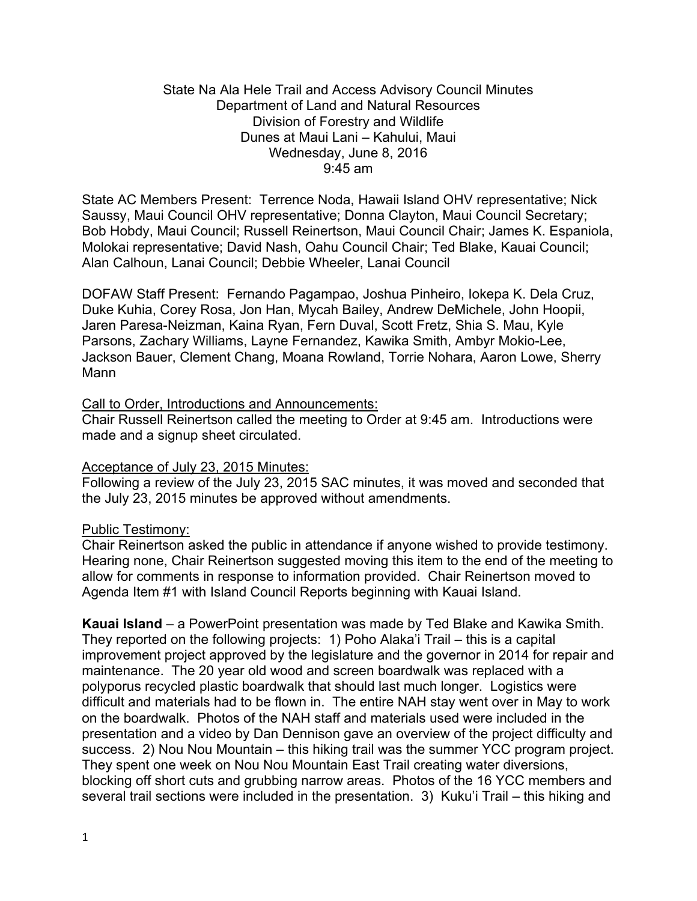### State Na Ala Hele Trail and Access Advisory Council Minutes Department of Land and Natural Resources Division of Forestry and Wildlife Dunes at Maui Lani – Kahului, Maui Wednesday, June 8, 2016 9:45 am

State AC Members Present: Terrence Noda, Hawaii Island OHV representative; Nick Saussy, Maui Council OHV representative; Donna Clayton, Maui Council Secretary; Bob Hobdy, Maui Council; Russell Reinertson, Maui Council Chair; James K. Espaniola, Molokai representative; David Nash, Oahu Council Chair; Ted Blake, Kauai Council; Alan Calhoun, Lanai Council; Debbie Wheeler, Lanai Council

DOFAW Staff Present: Fernando Pagampao, Joshua Pinheiro, Iokepa K. Dela Cruz, Duke Kuhia, Corey Rosa, Jon Han, Mycah Bailey, Andrew DeMichele, John Hoopii, Jaren Paresa-Neizman, Kaina Ryan, Fern Duval, Scott Fretz, Shia S. Mau, Kyle Parsons, Zachary Williams, Layne Fernandez, Kawika Smith, Ambyr Mokio-Lee, Jackson Bauer, Clement Chang, Moana Rowland, Torrie Nohara, Aaron Lowe, Sherry Mann

### Call to Order, Introductions and Announcements:

Chair Russell Reinertson called the meeting to Order at 9:45 am. Introductions were made and a signup sheet circulated.

# Acceptance of July 23, 2015 Minutes:

Following a review of the July 23, 2015 SAC minutes, it was moved and seconded that the July 23, 2015 minutes be approved without amendments.

# Public Testimony:

Chair Reinertson asked the public in attendance if anyone wished to provide testimony. Hearing none, Chair Reinertson suggested moving this item to the end of the meeting to allow for comments in response to information provided. Chair Reinertson moved to Agenda Item #1 with Island Council Reports beginning with Kauai Island.

**Kauai Island** – a PowerPoint presentation was made by Ted Blake and Kawika Smith. They reported on the following projects: 1) Poho Alaka'i Trail – this is a capital improvement project approved by the legislature and the governor in 2014 for repair and maintenance. The 20 year old wood and screen boardwalk was replaced with a polyporus recycled plastic boardwalk that should last much longer. Logistics were difficult and materials had to be flown in. The entire NAH stay went over in May to work on the boardwalk. Photos of the NAH staff and materials used were included in the presentation and a video by Dan Dennison gave an overview of the project difficulty and success. 2) Nou Nou Mountain – this hiking trail was the summer YCC program project. They spent one week on Nou Nou Mountain East Trail creating water diversions, blocking off short cuts and grubbing narrow areas. Photos of the 16 YCC members and several trail sections were included in the presentation. 3) Kuku'i Trail – this hiking and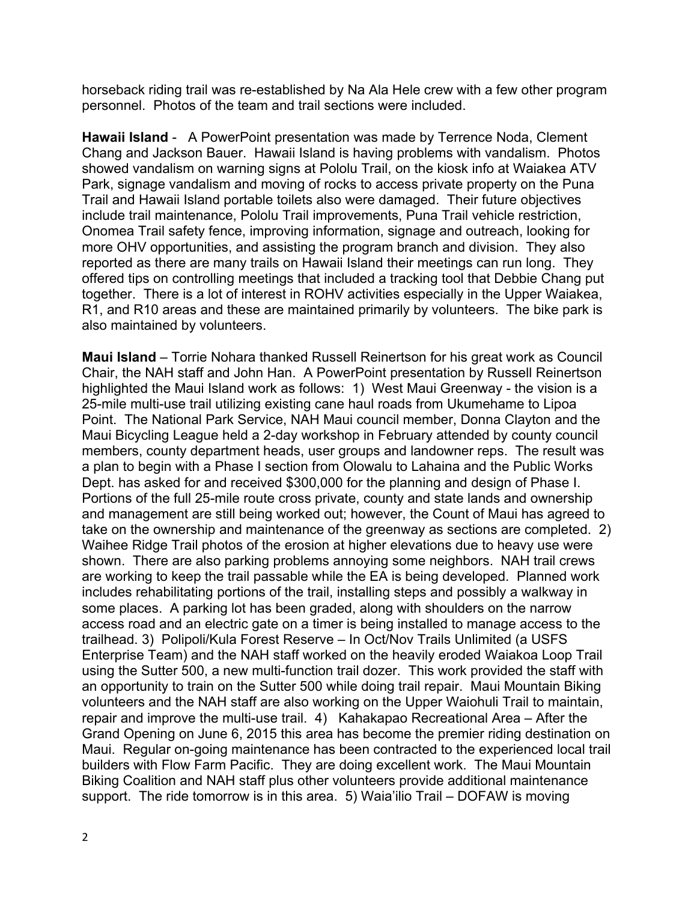horseback riding trail was re-established by Na Ala Hele crew with a few other program personnel. Photos of the team and trail sections were included.

**Hawaii Island** - A PowerPoint presentation was made by Terrence Noda, Clement Chang and Jackson Bauer. Hawaii Island is having problems with vandalism. Photos showed vandalism on warning signs at Pololu Trail, on the kiosk info at Waiakea ATV Park, signage vandalism and moving of rocks to access private property on the Puna Trail and Hawaii Island portable toilets also were damaged. Their future objectives include trail maintenance, Pololu Trail improvements, Puna Trail vehicle restriction, Onomea Trail safety fence, improving information, signage and outreach, looking for more OHV opportunities, and assisting the program branch and division. They also reported as there are many trails on Hawaii Island their meetings can run long. They offered tips on controlling meetings that included a tracking tool that Debbie Chang put together. There is a lot of interest in ROHV activities especially in the Upper Waiakea, R1, and R10 areas and these are maintained primarily by volunteers. The bike park is also maintained by volunteers.

**Maui Island** – Torrie Nohara thanked Russell Reinertson for his great work as Council Chair, the NAH staff and John Han. A PowerPoint presentation by Russell Reinertson highlighted the Maui Island work as follows: 1) West Maui Greenway - the vision is a 25-mile multi-use trail utilizing existing cane haul roads from Ukumehame to Lipoa Point. The National Park Service, NAH Maui council member, Donna Clayton and the Maui Bicycling League held a 2-day workshop in February attended by county council members, county department heads, user groups and landowner reps. The result was a plan to begin with a Phase I section from Olowalu to Lahaina and the Public Works Dept. has asked for and received \$300,000 for the planning and design of Phase I. Portions of the full 25-mile route cross private, county and state lands and ownership and management are still being worked out; however, the Count of Maui has agreed to take on the ownership and maintenance of the greenway as sections are completed. 2) Waihee Ridge Trail photos of the erosion at higher elevations due to heavy use were shown. There are also parking problems annoying some neighbors. NAH trail crews are working to keep the trail passable while the EA is being developed. Planned work includes rehabilitating portions of the trail, installing steps and possibly a walkway in some places. A parking lot has been graded, along with shoulders on the narrow access road and an electric gate on a timer is being installed to manage access to the trailhead. 3) Polipoli/Kula Forest Reserve – In Oct/Nov Trails Unlimited (a USFS Enterprise Team) and the NAH staff worked on the heavily eroded Waiakoa Loop Trail using the Sutter 500, a new multi-function trail dozer. This work provided the staff with an opportunity to train on the Sutter 500 while doing trail repair. Maui Mountain Biking volunteers and the NAH staff are also working on the Upper Waiohuli Trail to maintain, repair and improve the multi-use trail. 4) Kahakapao Recreational Area – After the Grand Opening on June 6, 2015 this area has become the premier riding destination on Maui. Regular on-going maintenance has been contracted to the experienced local trail builders with Flow Farm Pacific. They are doing excellent work. The Maui Mountain Biking Coalition and NAH staff plus other volunteers provide additional maintenance support. The ride tomorrow is in this area. 5) Waia'ilio Trail – DOFAW is moving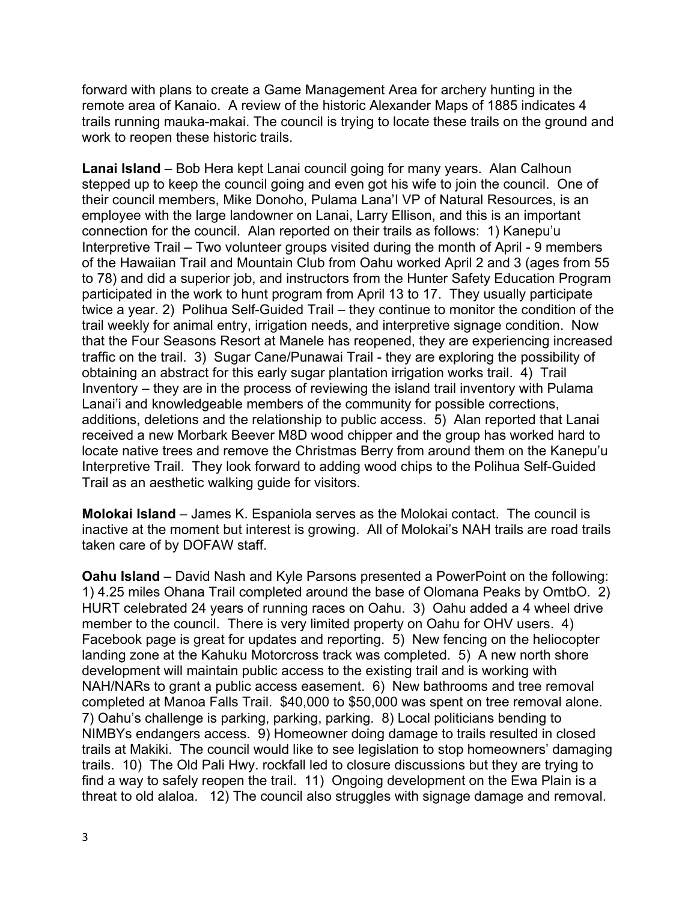forward with plans to create a Game Management Area for archery hunting in the remote area of Kanaio. A review of the historic Alexander Maps of 1885 indicates 4 trails running mauka-makai. The council is trying to locate these trails on the ground and work to reopen these historic trails.

**Lanai Island** – Bob Hera kept Lanai council going for many years. Alan Calhoun stepped up to keep the council going and even got his wife to join the council. One of their council members, Mike Donoho, Pulama Lana'I VP of Natural Resources, is an employee with the large landowner on Lanai, Larry Ellison, and this is an important connection for the council. Alan reported on their trails as follows: 1) Kanepu'u Interpretive Trail – Two volunteer groups visited during the month of April - 9 members of the Hawaiian Trail and Mountain Club from Oahu worked April 2 and 3 (ages from 55 to 78) and did a superior job, and instructors from the Hunter Safety Education Program participated in the work to hunt program from April 13 to 17. They usually participate twice a year. 2) Polihua Self-Guided Trail – they continue to monitor the condition of the trail weekly for animal entry, irrigation needs, and interpretive signage condition. Now that the Four Seasons Resort at Manele has reopened, they are experiencing increased traffic on the trail. 3) Sugar Cane/Punawai Trail - they are exploring the possibility of obtaining an abstract for this early sugar plantation irrigation works trail. 4) Trail Inventory – they are in the process of reviewing the island trail inventory with Pulama Lanai'i and knowledgeable members of the community for possible corrections, additions, deletions and the relationship to public access. 5) Alan reported that Lanai received a new Morbark Beever M8D wood chipper and the group has worked hard to locate native trees and remove the Christmas Berry from around them on the Kanepu'u Interpretive Trail. They look forward to adding wood chips to the Polihua Self-Guided Trail as an aesthetic walking guide for visitors.

**Molokai Island** – James K. Espaniola serves as the Molokai contact. The council is inactive at the moment but interest is growing. All of Molokai's NAH trails are road trails taken care of by DOFAW staff.

**Oahu Island** – David Nash and Kyle Parsons presented a PowerPoint on the following: 1) 4.25 miles Ohana Trail completed around the base of Olomana Peaks by OmtbO. 2) HURT celebrated 24 years of running races on Oahu. 3) Oahu added a 4 wheel drive member to the council. There is very limited property on Oahu for OHV users. 4) Facebook page is great for updates and reporting. 5) New fencing on the heliocopter landing zone at the Kahuku Motorcross track was completed. 5) A new north shore development will maintain public access to the existing trail and is working with NAH/NARs to grant a public access easement. 6) New bathrooms and tree removal completed at Manoa Falls Trail. \$40,000 to \$50,000 was spent on tree removal alone. 7) Oahu's challenge is parking, parking, parking. 8) Local politicians bending to NIMBYs endangers access. 9) Homeowner doing damage to trails resulted in closed trails at Makiki. The council would like to see legislation to stop homeowners' damaging trails. 10) The Old Pali Hwy. rockfall led to closure discussions but they are trying to find a way to safely reopen the trail. 11) Ongoing development on the Ewa Plain is a threat to old alaloa. 12) The council also struggles with signage damage and removal.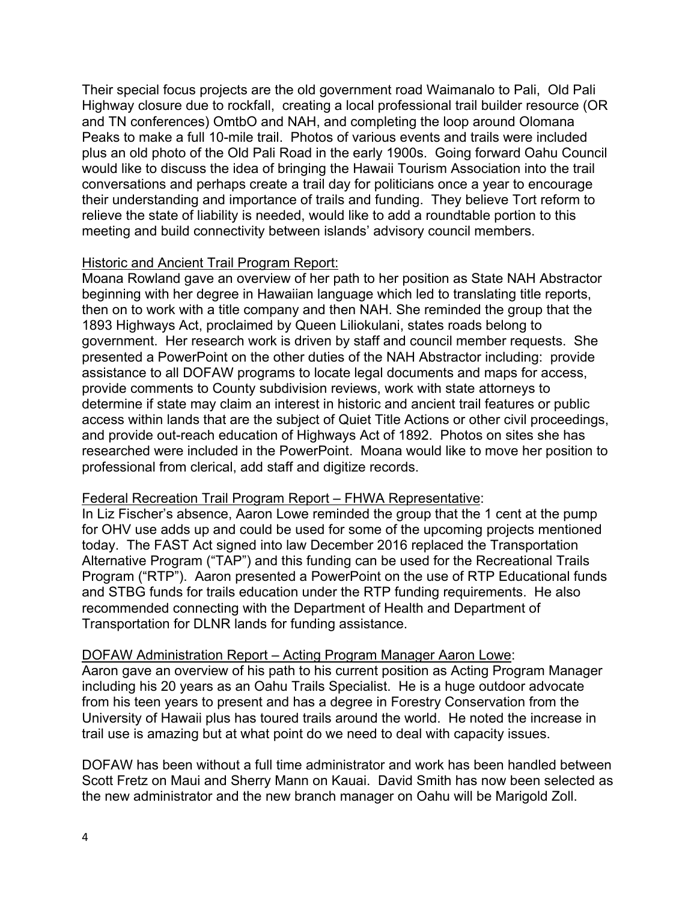Their special focus projects are the old government road Waimanalo to Pali, Old Pali Highway closure due to rockfall, creating a local professional trail builder resource (OR and TN conferences) OmtbO and NAH, and completing the loop around Olomana Peaks to make a full 10-mile trail. Photos of various events and trails were included plus an old photo of the Old Pali Road in the early 1900s. Going forward Oahu Council would like to discuss the idea of bringing the Hawaii Tourism Association into the trail conversations and perhaps create a trail day for politicians once a year to encourage their understanding and importance of trails and funding. They believe Tort reform to relieve the state of liability is needed, would like to add a roundtable portion to this meeting and build connectivity between islands' advisory council members.

# Historic and Ancient Trail Program Report:

Moana Rowland gave an overview of her path to her position as State NAH Abstractor beginning with her degree in Hawaiian language which led to translating title reports, then on to work with a title company and then NAH. She reminded the group that the 1893 Highways Act, proclaimed by Queen Liliokulani, states roads belong to government. Her research work is driven by staff and council member requests. She presented a PowerPoint on the other duties of the NAH Abstractor including: provide assistance to all DOFAW programs to locate legal documents and maps for access, provide comments to County subdivision reviews, work with state attorneys to determine if state may claim an interest in historic and ancient trail features or public access within lands that are the subject of Quiet Title Actions or other civil proceedings, and provide out-reach education of Highways Act of 1892. Photos on sites she has researched were included in the PowerPoint. Moana would like to move her position to professional from clerical, add staff and digitize records.

# Federal Recreation Trail Program Report – FHWA Representative:

In Liz Fischer's absence, Aaron Lowe reminded the group that the 1 cent at the pump for OHV use adds up and could be used for some of the upcoming projects mentioned today. The FAST Act signed into law December 2016 replaced the Transportation Alternative Program ("TAP") and this funding can be used for the Recreational Trails Program ("RTP"). Aaron presented a PowerPoint on the use of RTP Educational funds and STBG funds for trails education under the RTP funding requirements. He also recommended connecting with the Department of Health and Department of Transportation for DLNR lands for funding assistance.

# DOFAW Administration Report – Acting Program Manager Aaron Lowe:

Aaron gave an overview of his path to his current position as Acting Program Manager including his 20 years as an Oahu Trails Specialist. He is a huge outdoor advocate from his teen years to present and has a degree in Forestry Conservation from the University of Hawaii plus has toured trails around the world. He noted the increase in trail use is amazing but at what point do we need to deal with capacity issues.

DOFAW has been without a full time administrator and work has been handled between Scott Fretz on Maui and Sherry Mann on Kauai. David Smith has now been selected as the new administrator and the new branch manager on Oahu will be Marigold Zoll.